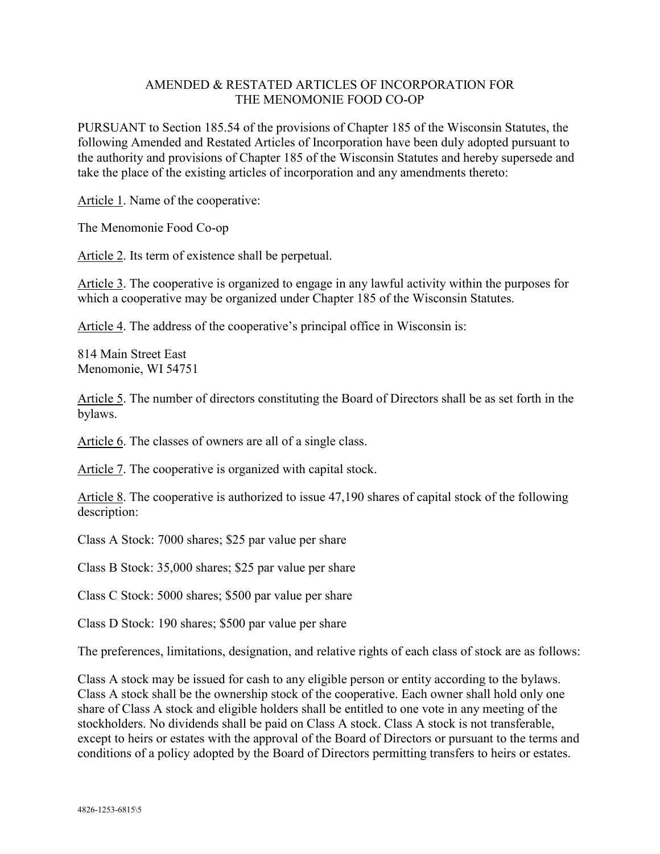## AMENDED & RESTATED ARTICLES OF INCORPORATION FOR THE MENOMONIE FOOD CO-OP

PURSUANT to Section 185.54 of the provisions of Chapter 185 of the Wisconsin Statutes, the following Amended and Restated Articles of Incorporation have been duly adopted pursuant to the authority and provisions of Chapter 185 of the Wisconsin Statutes and hereby supersede and take the place of the existing articles of incorporation and any amendments thereto:

Article 1. Name of the cooperative:

The Menomonie Food Co-op

Article 2. Its term of existence shall be perpetual.

Article 3. The cooperative is organized to engage in any lawful activity within the purposes for which a cooperative may be organized under Chapter 185 of the Wisconsin Statutes.

Article 4. The address of the cooperative's principal office in Wisconsin is:

814 Main Street East Menomonie, WI 54751

Article 5. The number of directors constituting the Board of Directors shall be as set forth in the bylaws.

Article 6. The classes of owners are all of a single class.

Article 7. The cooperative is organized with capital stock.

Article 8. The cooperative is authorized to issue 47,190 shares of capital stock of the following description:

Class A Stock: 7000 shares; \$25 par value per share

Class B Stock: 35,000 shares; \$25 par value per share

Class C Stock: 5000 shares; \$500 par value per share

Class D Stock: 190 shares; \$500 par value per share

The preferences, limitations, designation, and relative rights of each class of stock are as follows:

Class A stock may be issued for cash to any eligible person or entity according to the bylaws. Class A stock shall be the ownership stock of the cooperative. Each owner shall hold only one share of Class A stock and eligible holders shall be entitled to one vote in any meeting of the stockholders. No dividends shall be paid on Class A stock. Class A stock is not transferable, except to heirs or estates with the approval of the Board of Directors or pursuant to the terms and conditions of a policy adopted by the Board of Directors permitting transfers to heirs or estates.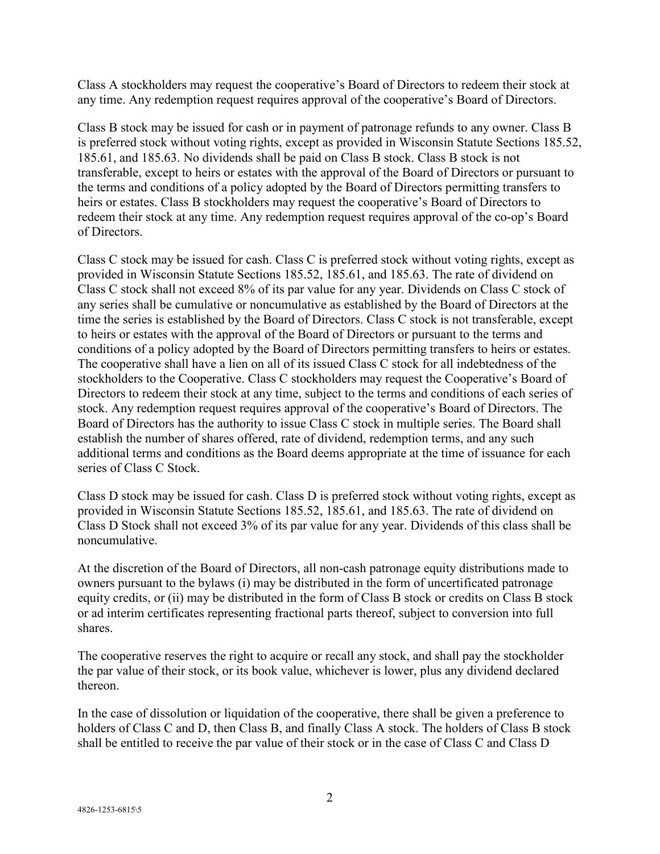Class A stockholders may request the cooperative's Board of Directors to redeem their stock at any time. Any redemption request requires approval of the cooperative's Board of Directors.

Class B stock may be issued for cash or in payment of patronage refunds to any owner. Class B is preferred stock without voting rights, except as provided in Wisconsin Statute Sections 185.52, 185.61, and 185.63. No dividends shall be paid on Class B stock. Class B stock is not transferable, except to heirs or estates with the approval of the Board of Directors or pursuant to the terms and conditions of a policy adopted by the Board of Directors permitting transfers to heirs or estates. Class B stockholders may request the cooperative's Board of Directors to redeem their stock at any time. Any redemption request requires approval of the co-op's Board of Directors.

Class C stock may be issued for cash. Class C is preferred stock without voting rights, except as provided in Wisconsin Statute Sections 185.52, 185.61, and 185.63. The rate of dividend on Class C stock shall not exceed 8% of its par value for any year. Dividends on Class C stock of any series shall be cumulative or noncumulative as established by the Board of Directors at the time the series is established by the Board of Directors. Class C stock is not transferable, except to heirs or estates with the approval of the Board of Directors or pursuant to the terms and conditions of a policy adopted by the Board of Directors permitting transfers to heirs or estates. The cooperative shall have a lien on all of its issued Class C stock for all indebtedness of the stockholders to the Cooperative. Class C stockholders may request the Cooperative's Board of Directors to redeem their stock at any time, subject to the terms and conditions of each series of stock. Any redemption request requires approval of the cooperative's Board of Directors. The Board of Directors has the authority to issue Class C stock in multiple series. The Board shall establish the number of shares offered, rate of dividend, redemption terms, and any such additional terms and conditions as the Board deems appropriate at the time of issuance for each series of Class C Stock.

Class D stock may be issued for cash. Class D is preferred stock without voting rights, except as provided in Wisconsin Statute Sections 185.52, 185.61, and 185.63. The rate of dividend on Class D Stock shall not exceed 3% of its par value for any year. Dividends of this class shall be noncumulative.

At the discretion of the Board of Directors, all non-cash patronage equity distributions made to owners pursuant to the bylaws (i) may be distributed in the form of uncertificated patronage equity credits, or (ii) may be distributed in the form of Class B stock or credits on Class B stock or ad interim certificates representing fractional parts thereof, subject to conversion into full shares.

The cooperative reserves the right to acquire or recall any stock, and shall pay the stockholder the par value of their stock, or its book value, whichever is lower, plus any dividend declared thereon.

In the case of dissolution or liquidation of the cooperative, there shall be given a preference to holders of Class C and D, then Class B, and finally Class A stock. The holders of Class B stock shall be entitled to receive the par value of their stock or in the case of Class C and Class D